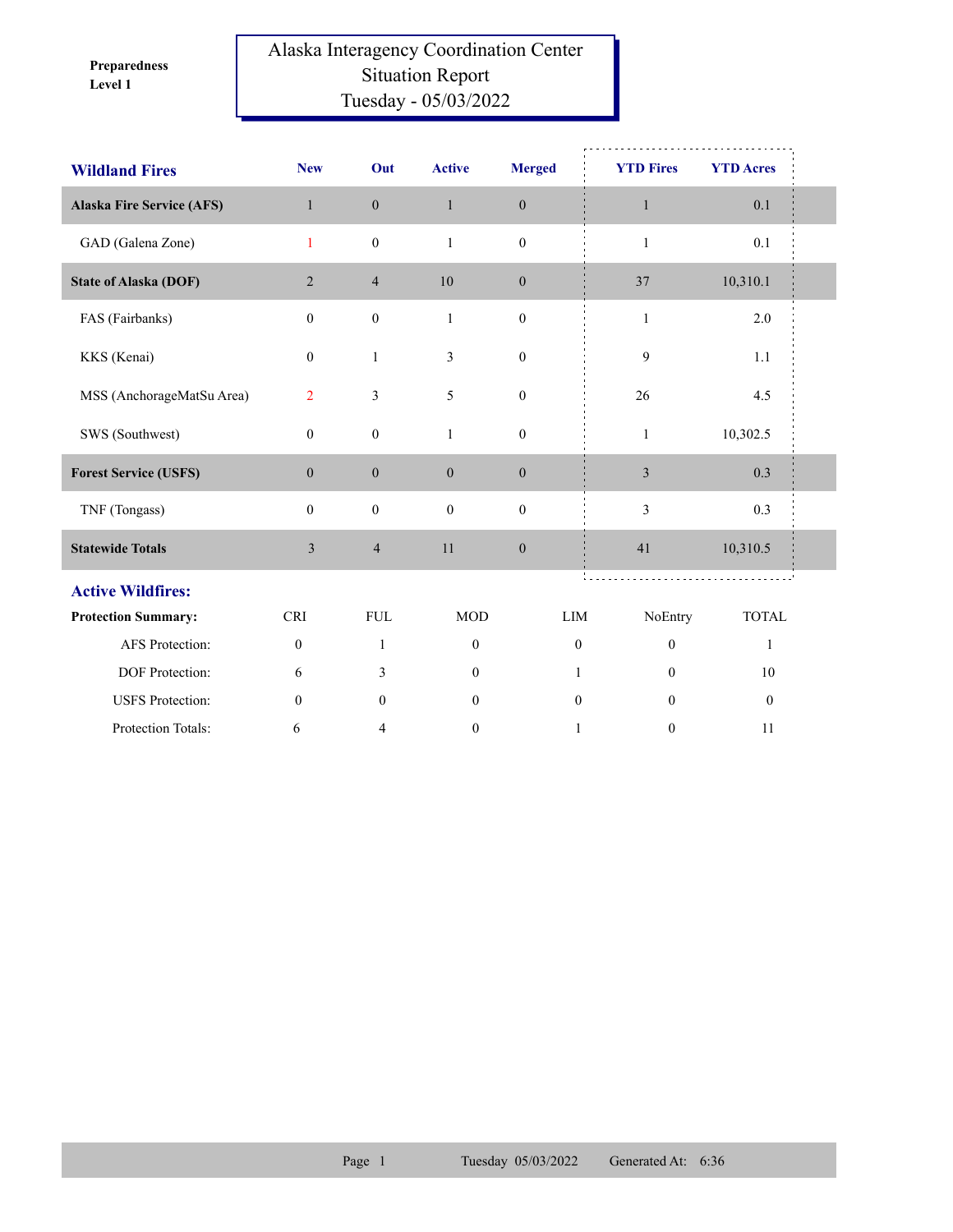**Level 1 Preparedness** 

## Alaska Interagency Coordination Center Situation Report Tuesday - 05/03/2022

| <b>Wildland Fires</b>            | <b>New</b>       | Out              | <b>Active</b>    | <b>Merged</b>    | <b>YTD Fires</b> | <b>YTD Acres</b> |
|----------------------------------|------------------|------------------|------------------|------------------|------------------|------------------|
| <b>Alaska Fire Service (AFS)</b> | $\mathbf{1}$     | $\boldsymbol{0}$ | $\mathbf{1}$     | $\boldsymbol{0}$ | $\mathbf{1}$     | 0.1              |
| GAD (Galena Zone)                | $\mathbf{1}$     | $\boldsymbol{0}$ | $\mathbf{1}$     | $\boldsymbol{0}$ | $\mathbf{1}$     | 0.1              |
| <b>State of Alaska (DOF)</b>     | $\overline{2}$   | $\overline{4}$   | 10               | $\boldsymbol{0}$ | 37               | 10,310.1         |
| FAS (Fairbanks)                  | $\boldsymbol{0}$ | $\boldsymbol{0}$ | $\mathbf{1}$     | $\boldsymbol{0}$ | $\mathbf{1}$     | 2.0              |
| KKS (Kenai)                      | $\mathbf{0}$     | $\mathbf{1}$     | 3                | $\mathbf{0}$     | 9                | 1.1              |
| MSS (AnchorageMatSu Area)        | $\overline{2}$   | $\mathfrak{Z}$   | 5                | $\boldsymbol{0}$ | 26               | 4.5              |
| SWS (Southwest)                  | $\boldsymbol{0}$ | $\boldsymbol{0}$ | $\mathbf{1}$     | $\boldsymbol{0}$ | $\mathbf{1}$     | 10,302.5         |
| <b>Forest Service (USFS)</b>     | $\boldsymbol{0}$ | $\boldsymbol{0}$ | $\overline{0}$   | $\boldsymbol{0}$ | $\mathfrak{Z}$   | 0.3              |
| TNF (Tongass)                    | $\mathbf{0}$     | $\boldsymbol{0}$ | $\mathbf{0}$     | $\mathbf{0}$     | 3                | 0.3              |
| <b>Statewide Totals</b>          | $\mathfrak{Z}$   | $\overline{4}$   | 11               | $\boldsymbol{0}$ | 41               | 10,310.5         |
| <b>Active Wildfires:</b>         |                  |                  |                  |                  |                  |                  |
| <b>Protection Summary:</b>       | <b>CRI</b>       | ${\rm FUL}$      | <b>MOD</b>       | LIM              | NoEntry          | <b>TOTAL</b>     |
| AFS Protection:                  | $\boldsymbol{0}$ | $\mathbf{1}$     | $\mathbf{0}$     | $\mathbf{0}$     | $\boldsymbol{0}$ | $\mathbf{1}$     |
| DOF Protection:                  | 6                | 3                | $\overline{0}$   | 1                | $\theta$         | 10               |
| <b>USFS</b> Protection:          | $\boldsymbol{0}$ | $\mathbf{0}$     | $\mathbf{0}$     | $\mathbf{0}$     | $\theta$         | $\boldsymbol{0}$ |
| Protection Totals:               | 6                | 4                | $\boldsymbol{0}$ | 1                | $\boldsymbol{0}$ | 11               |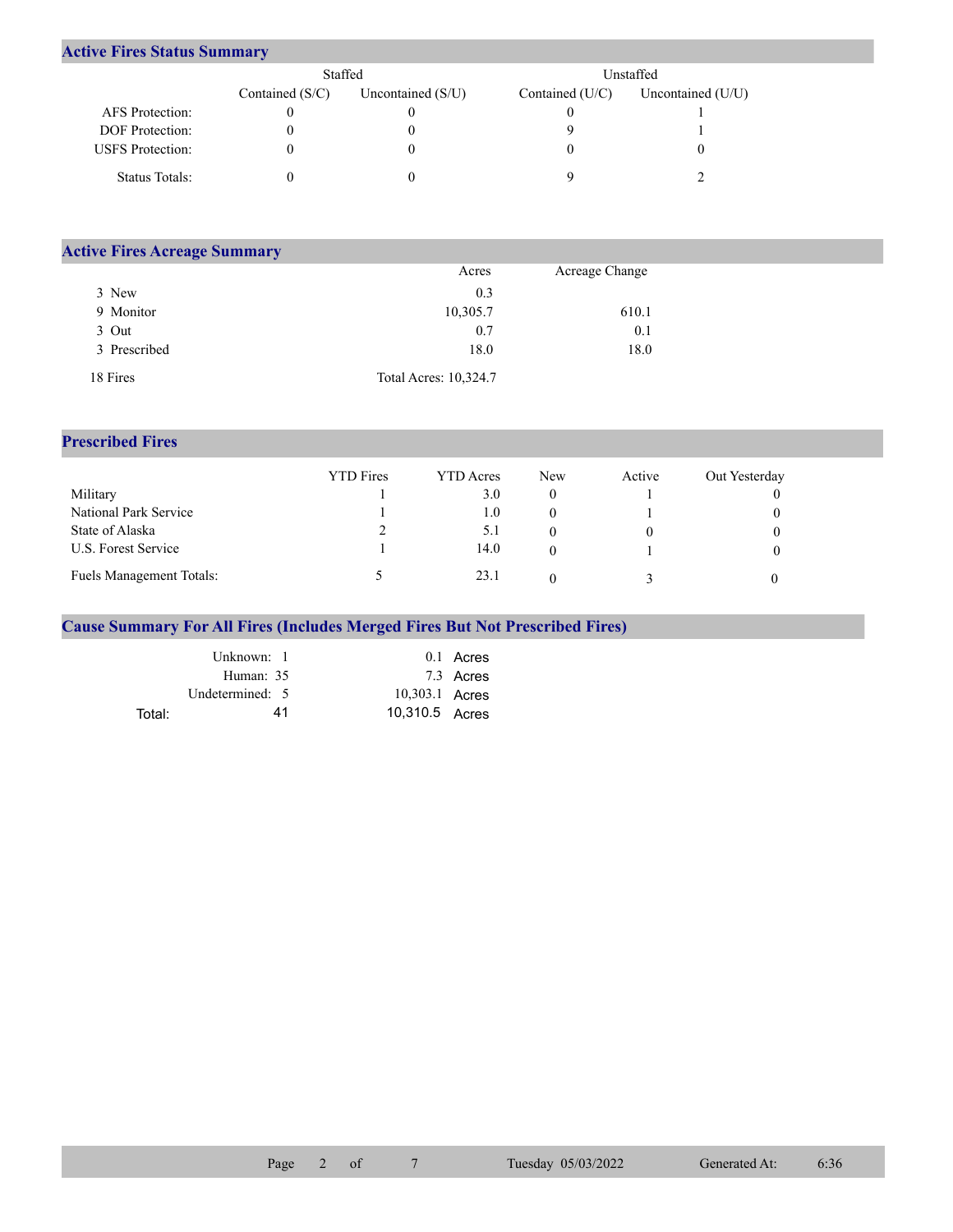## **Active Fires Status Summary**

|                         | Staffed           |                     |                 | Unstaffed           |  |  |
|-------------------------|-------------------|---------------------|-----------------|---------------------|--|--|
|                         | Contained $(S/C)$ | Uncontained $(S/U)$ | Contained (U/C) | Uncontained $(U/U)$ |  |  |
| AFS Protection:         |                   |                     |                 |                     |  |  |
| <b>DOF</b> Protection:  |                   |                     |                 |                     |  |  |
| <b>USFS</b> Protection: |                   |                     |                 |                     |  |  |
| Status Totals:          |                   |                     |                 |                     |  |  |

| <b>Active Fires Acreage Summary</b> |                       |                |  |
|-------------------------------------|-----------------------|----------------|--|
|                                     | Acres                 | Acreage Change |  |
| 3 New                               | 0.3                   |                |  |
| 9 Monitor                           | 10,305.7              | 610.1          |  |
| 3 Out                               | 0.7                   | 0.1            |  |
| 3 Prescribed                        | 18.0                  | 18.0           |  |
| 18 Fires                            | Total Acres: 10,324.7 |                |  |

## **Prescribed Fires**

|                                 | <b>YTD</b> Fires | <b>YTD</b> Acres | <b>New</b> | Active | Out Yesterday |
|---------------------------------|------------------|------------------|------------|--------|---------------|
| Military                        |                  | 3.0              |            |        |               |
| National Park Service           |                  | $1.0\,$          |            |        |               |
| State of Alaska                 |                  | 5.1              |            |        |               |
| U.S. Forest Service             |                  | 14.0             |            |        |               |
| <b>Fuels Management Totals:</b> |                  | 23.1             |            |        |               |

## **Cause Summary For All Fires (Includes Merged Fires But Not Prescribed Fires)**

|        | Unknown: 1      |                | $0.1$ Acres |
|--------|-----------------|----------------|-------------|
|        | Human: 35       |                | 7.3 Acres   |
|        | Undetermined: 5 | 10,303.1 Acres |             |
| Total: | 41              | 10,310.5 Acres |             |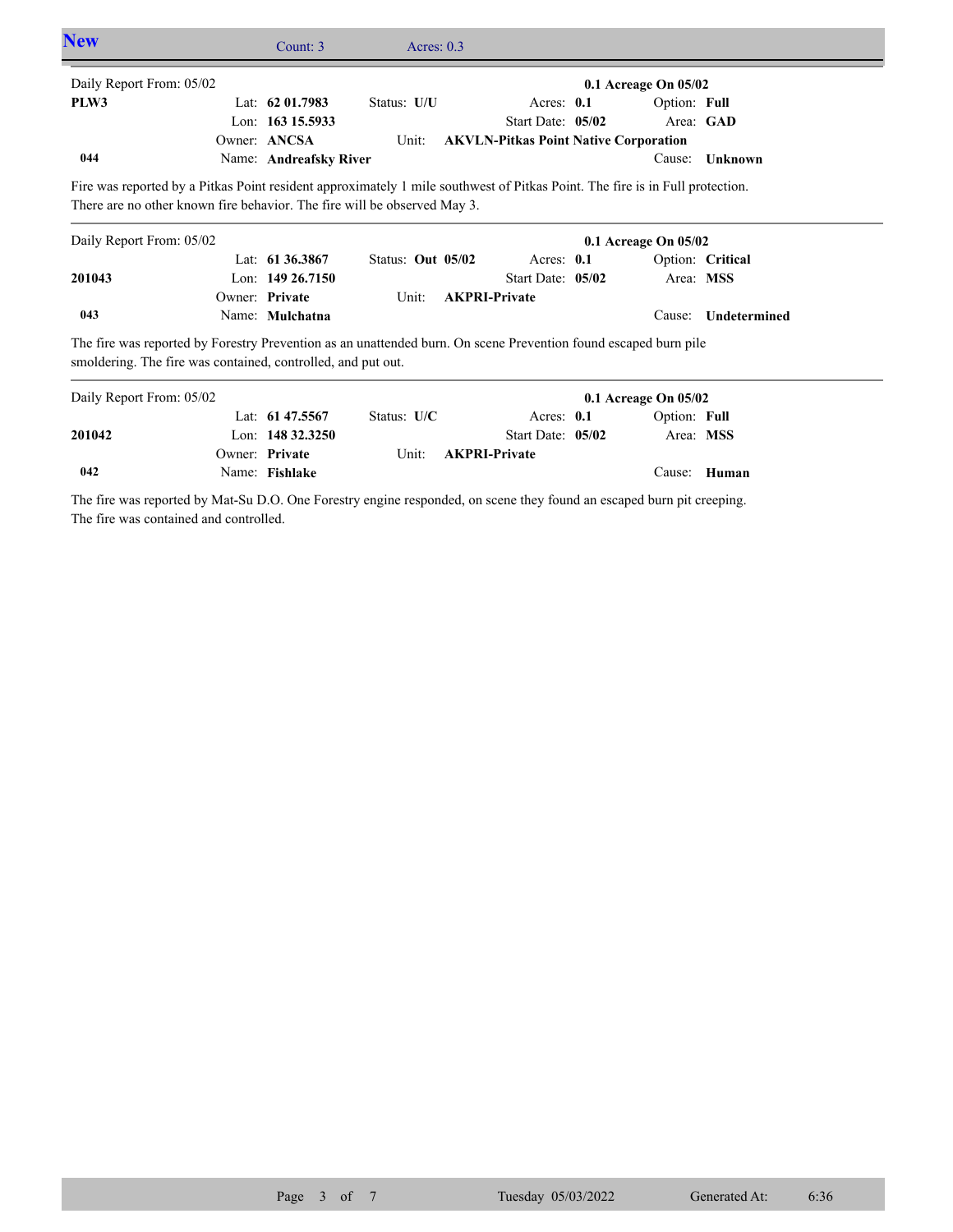| <b>New</b>                                                                                                                                                                      | Count: 3               | Acres: $0.3$      |                                              |                   |                      |                  |
|---------------------------------------------------------------------------------------------------------------------------------------------------------------------------------|------------------------|-------------------|----------------------------------------------|-------------------|----------------------|------------------|
| Daily Report From: 05/02                                                                                                                                                        |                        |                   |                                              |                   | 0.1 Acreage On 05/02 |                  |
| PLW3                                                                                                                                                                            | Lat: $62\,01.7983$     | Status: U/U       |                                              | Acres: $0.1$      | Option: Full         |                  |
|                                                                                                                                                                                 | Lon: 163 15.5933       |                   |                                              | Start Date: 05/02 |                      | Area: GAD        |
|                                                                                                                                                                                 | Owner: ANCSA           | Unit:             | <b>AKVLN-Pitkas Point Native Corporation</b> |                   |                      |                  |
| 044                                                                                                                                                                             | Name: Andreafsky River |                   |                                              |                   | Cause:               | Unknown          |
| Daily Report From: 05/02                                                                                                                                                        |                        |                   |                                              |                   | 0.1 Acreage On 05/02 |                  |
|                                                                                                                                                                                 |                        |                   |                                              |                   |                      |                  |
|                                                                                                                                                                                 | Lat: $61\,36.3867$     | Status: Out 05/02 |                                              | Acres: 0.1        |                      | Option: Critical |
| 201043                                                                                                                                                                          | Lon: $14926.7150$      |                   |                                              | Start Date: 05/02 | Area: MSS            |                  |
|                                                                                                                                                                                 | Owner: Private         | Unit:             | <b>AKPRI-Private</b>                         |                   |                      |                  |
| 043                                                                                                                                                                             | Name: Mulchatna        |                   |                                              |                   | Cause:               | Undetermined     |
| The fire was reported by Forestry Prevention as an unattended burn. On scene Prevention found escaped burn pile<br>smoldering. The fire was contained, controlled, and put out. |                        |                   |                                              |                   |                      |                  |
| Daily Report From: 05/02                                                                                                                                                        |                        |                   |                                              |                   | 0.1 Acreage On 05/02 |                  |
|                                                                                                                                                                                 | Lat: 61 47.5567        | Status: U/C       |                                              | Acres: 0.1        | Option: Full         |                  |
| 201042                                                                                                                                                                          | Lon: 148 32.3250       |                   |                                              | Start Date: 05/02 | Area: MSS            |                  |

Unit: **AKPRI-Private** 

The fire was reported by Mat-Su D.O. One Forestry engine responded, on scene they found an escaped burn pit creeping. The fire was contained and controlled.

Name: **Fishlake**

Owner: Private

**042**

Cause: **Human**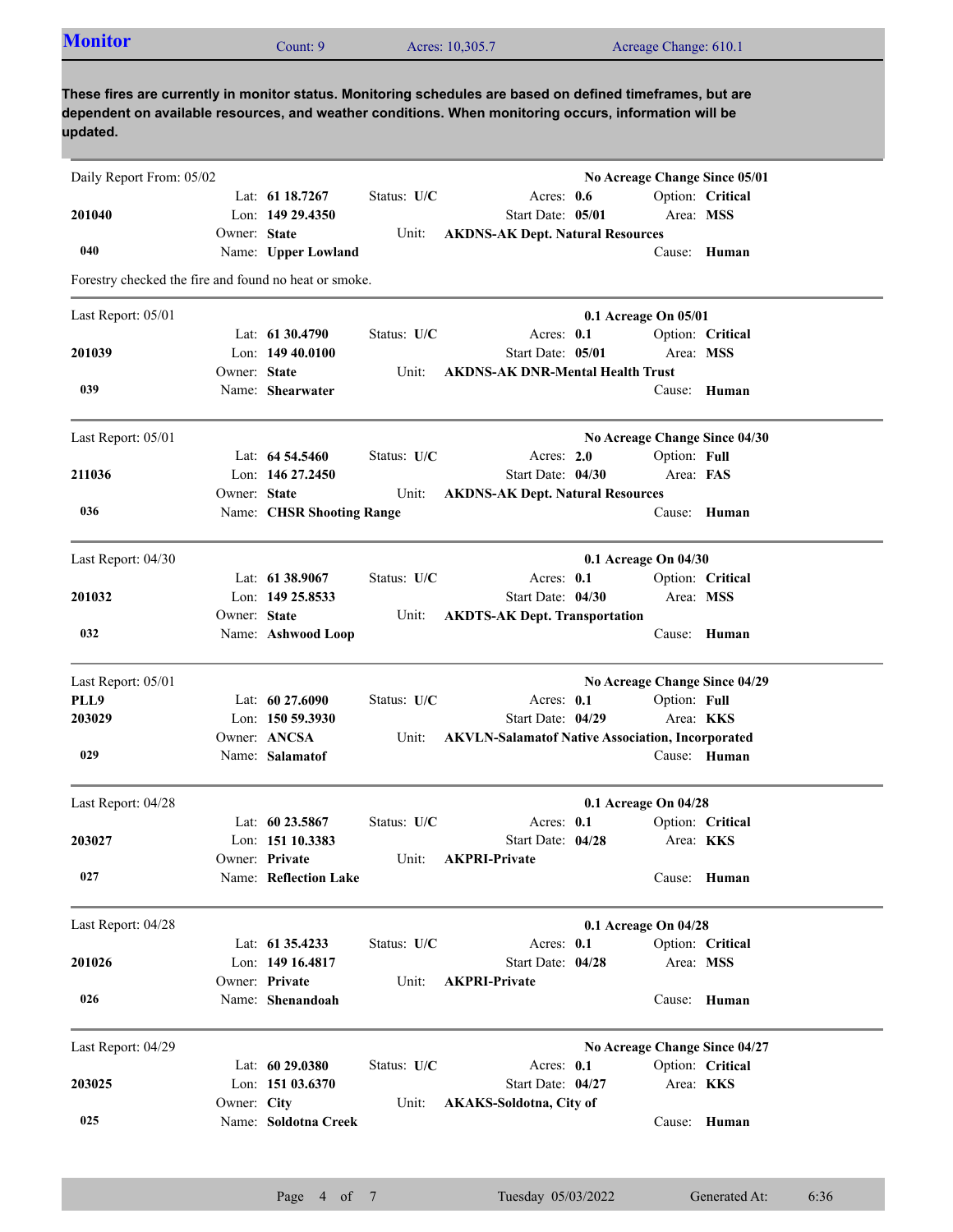| <b>Monitor</b> | Count: 9 | Acres: 10,305.7 | Acreage Change: 610.1 |  |
|----------------|----------|-----------------|-----------------------|--|
|----------------|----------|-----------------|-----------------------|--|

**These fires are currently in monitor status. Monitoring schedules are based on defined timeframes, but are dependent on available resources, and weather conditions. When monitoring occurs, information will be updated.**

| Daily Report From: 05/02                              |              |                           |               |                                                         | No Acreage Change Since 05/01 |                  |                               |
|-------------------------------------------------------|--------------|---------------------------|---------------|---------------------------------------------------------|-------------------------------|------------------|-------------------------------|
|                                                       |              | Lat: 61 18.7267           | Status: U/C   | Acres: $0.6$                                            |                               |                  | Option: Critical              |
| 201040                                                |              | Lon: 149 29.4350          |               | Start Date: 05/01                                       |                               | Area: MSS        |                               |
|                                                       | Owner: State |                           | Unit:         | <b>AKDNS-AK Dept. Natural Resources</b>                 |                               |                  |                               |
| 040                                                   |              | Name: Upper Lowland       |               |                                                         |                               | Cause:           | Human                         |
| Forestry checked the fire and found no heat or smoke. |              |                           |               |                                                         |                               |                  |                               |
| Last Report: 05/01                                    |              |                           |               |                                                         | 0.1 Acreage On 05/01          |                  |                               |
|                                                       |              | Lat: 61 30.4790           | Status: U/C   | Acres: 0.1                                              |                               |                  | Option: Critical              |
| 201039                                                |              | Lon: $14940.0100$         |               | Start Date: 05/01                                       |                               | Area: MSS        |                               |
|                                                       | Owner: State |                           | Unit:         | <b>AKDNS-AK DNR-Mental Health Trust</b>                 |                               |                  |                               |
| 039                                                   |              | Name: Shearwater          |               |                                                         |                               | Cause:           | Human                         |
| Last Report: 05/01                                    |              |                           |               |                                                         |                               |                  | No Acreage Change Since 04/30 |
|                                                       |              | Lat: $64\,54.5460$        | Status: U/C   | Acres: 2.0                                              |                               | Option: Full     |                               |
| 211036                                                |              | Lon: 146 27.2450          |               | Start Date: 04/30                                       |                               | Area: FAS        |                               |
|                                                       | Owner: State |                           | Unit:         | <b>AKDNS-AK Dept. Natural Resources</b>                 |                               |                  |                               |
| 036                                                   |              | Name: CHSR Shooting Range |               |                                                         |                               |                  | Cause: Human                  |
| Last Report: 04/30                                    |              |                           |               |                                                         | 0.1 Acreage On 04/30          |                  |                               |
|                                                       |              | Lat: 61 38.9067           | Status: U/C   | Acres: 0.1                                              |                               |                  | Option: Critical              |
| 201032                                                |              | Lon: 149 25,8533          |               | Start Date: 04/30                                       |                               | Area: MSS        |                               |
|                                                       | Owner: State |                           | Unit:         | <b>AKDTS-AK Dept. Transportation</b>                    |                               |                  |                               |
| 032                                                   |              | Name: Ashwood Loop        |               |                                                         |                               |                  | Cause: Human                  |
| Last Report: 05/01                                    |              |                           |               |                                                         |                               |                  | No Acreage Change Since 04/29 |
| PLL9                                                  |              | Lat: 60 27.6090           | Status: U/C   | Acres: 0.1                                              |                               | Option: Full     |                               |
| 203029                                                |              | Lon: $15059.3930$         |               | Start Date: 04/29                                       |                               |                  | Area: <b>KKS</b>              |
|                                                       |              | Owner: ANCSA              | Unit:         | <b>AKVLN-Salamatof Native Association, Incorporated</b> |                               |                  |                               |
| 029                                                   |              | Name: Salamatof           |               |                                                         |                               |                  | Cause: Human                  |
|                                                       |              |                           |               |                                                         |                               |                  |                               |
| Last Report: 04/28                                    |              |                           |               |                                                         | 0.1 Acreage On 04/28          |                  |                               |
|                                                       |              | Lat: $60\,23.5867$        | Status: $U/C$ | Acres: $0.1$                                            |                               |                  | Option: Critical              |
| 203027                                                |              | Lon: 151 10.3383          |               | Start Date: 04/28                                       |                               | Area: <b>KKS</b> |                               |
|                                                       |              | Owner: Private            | Unit:         | <b>AKPRI-Private</b>                                    |                               |                  |                               |
| 027                                                   |              | Name: Reflection Lake     |               |                                                         |                               |                  | Cause: Human                  |
| Last Report: 04/28                                    |              |                           |               |                                                         | 0.1 Acreage On 04/28          |                  |                               |
|                                                       |              | Lat: 61 35.4233           | Status: U/C   | Acres: 0.1                                              |                               |                  | Option: Critical              |
| 201026                                                |              | Lon: 149 16.4817          |               | Start Date: 04/28                                       |                               | Area: MSS        |                               |
|                                                       |              | Owner: Private            | Unit:         | <b>AKPRI-Private</b>                                    |                               |                  |                               |
| 026                                                   |              | Name: Shenandoah          |               |                                                         |                               |                  | Cause: Human                  |
| Last Report: 04/29                                    |              |                           |               |                                                         | No Acreage Change Since 04/27 |                  |                               |
|                                                       |              | Lat: 60 29.0380           | Status: U/C   | Acres: 0.1                                              |                               |                  | Option: Critical              |
| 203025                                                |              | Lon: 151 03.6370          |               | Start Date: 04/27                                       |                               | Area: KKS        |                               |
|                                                       | Owner: City  |                           | Unit:         | <b>AKAKS-Soldotna, City of</b>                          |                               |                  |                               |
| 025                                                   |              | Name: Soldotna Creek      |               |                                                         |                               |                  | Cause: Human                  |
|                                                       |              |                           |               |                                                         |                               |                  |                               |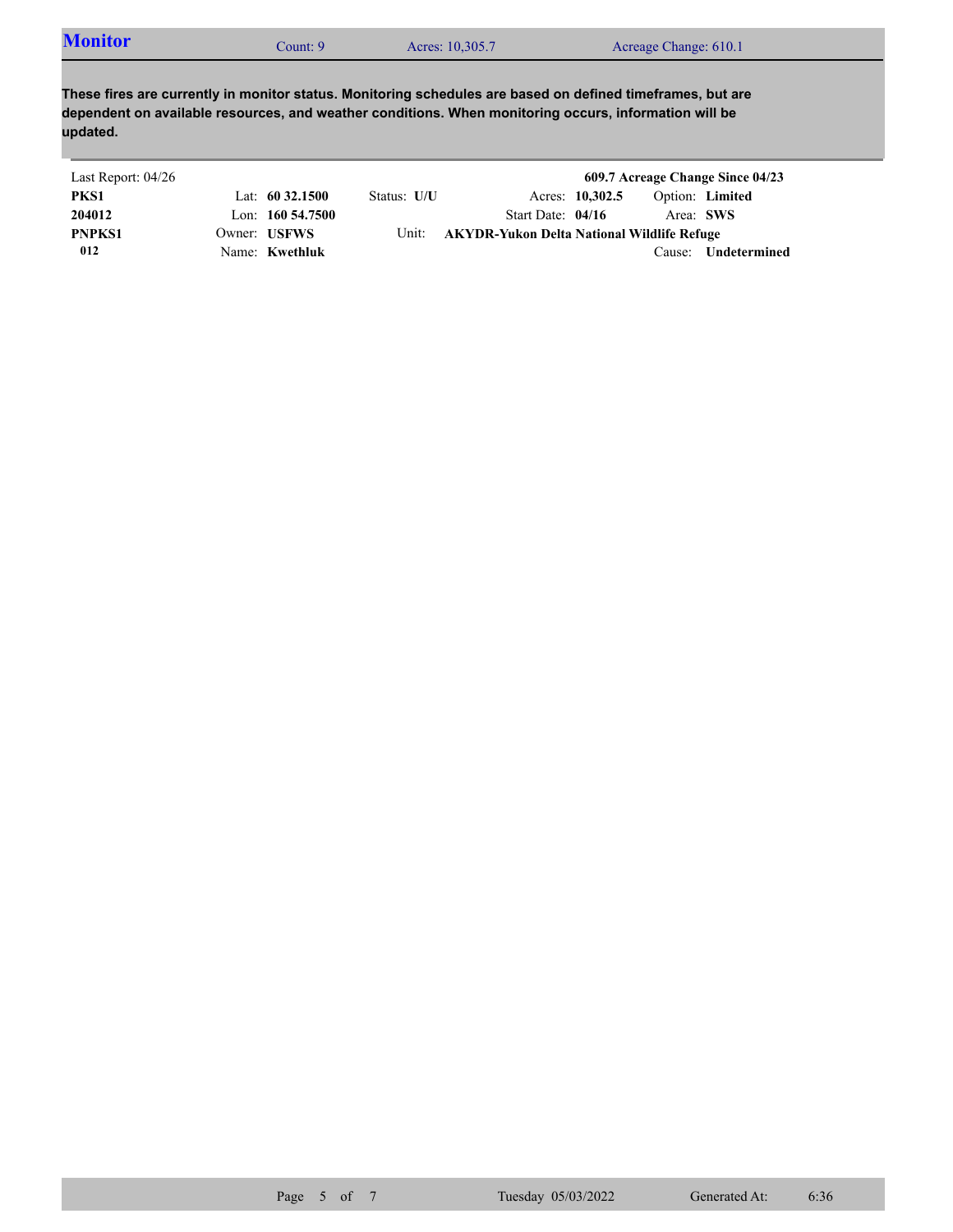| <b>Monitor</b> | Count: 9 | Acres: 10,305.7 | Acreage Change: 610.1 |  |
|----------------|----------|-----------------|-----------------------|--|
|----------------|----------|-----------------|-----------------------|--|

**These fires are currently in monitor status. Monitoring schedules are based on defined timeframes, but are dependent on available resources, and weather conditions. When monitoring occurs, information will be updated.**

| Last Report: 04/26 |                     |             |                                            |                 |           | 609.7 Acreage Change Since 04/23 |
|--------------------|---------------------|-------------|--------------------------------------------|-----------------|-----------|----------------------------------|
| PKS1               | Lat: $60\,32.1500$  | Status: U/U |                                            | Acres: 10,302.5 |           | Option: Limited                  |
| 204012             | Lon: $160\,54.7500$ |             | Start Date: $04/16$                        |                 | Area: SWS |                                  |
| <b>PNPKS1</b>      | Owner: USFWS        | Unit:       | AKYDR-Yukon Delta National Wildlife Refuge |                 |           |                                  |
| 012                | Name: Kwethluk      |             |                                            |                 | Cause:    | Undetermined                     |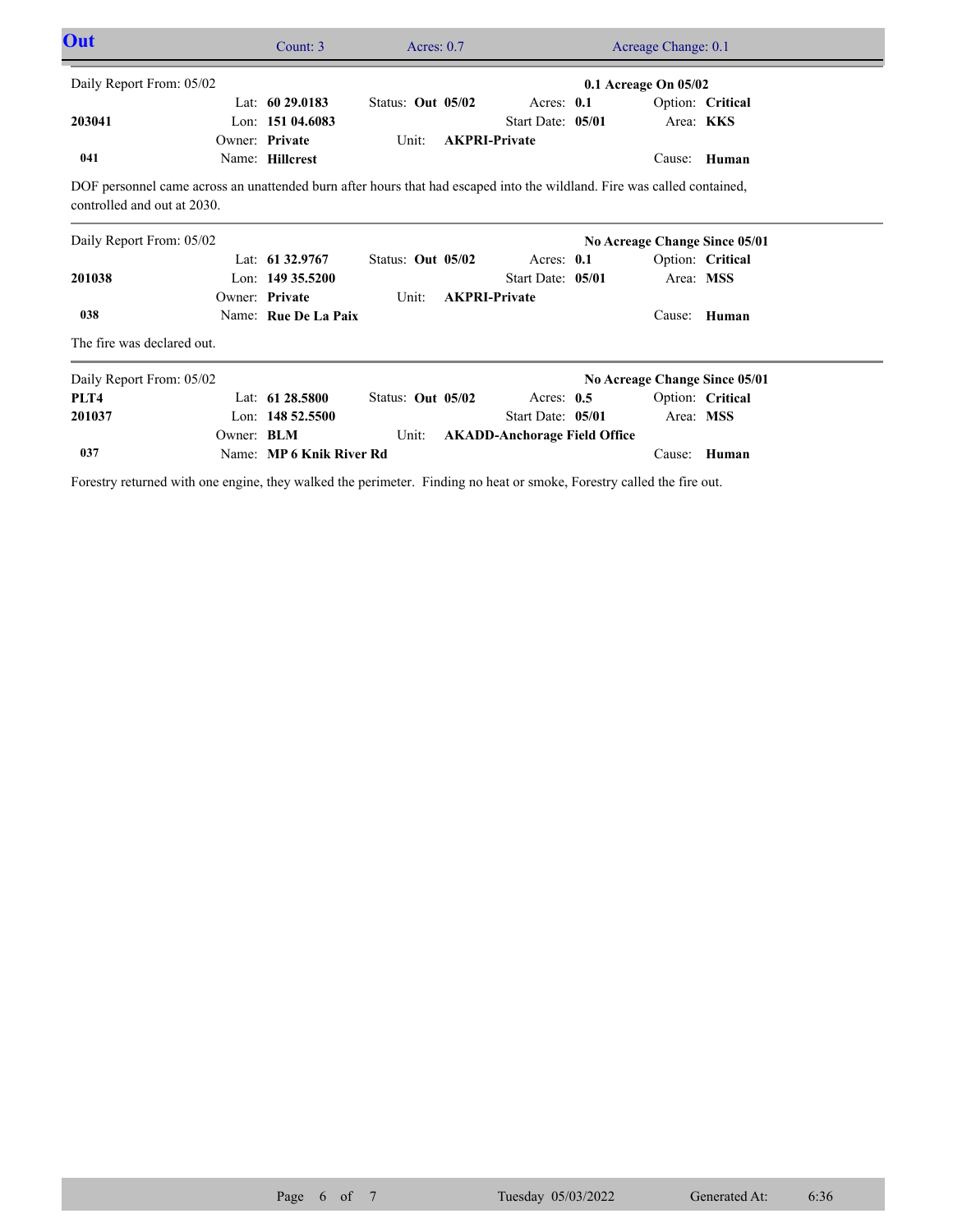| Out                                                                                                                                                    | Count: 3                 | Acres: $0.7$      |                                     | Acreage Change: 0.1           |                  |
|--------------------------------------------------------------------------------------------------------------------------------------------------------|--------------------------|-------------------|-------------------------------------|-------------------------------|------------------|
| Daily Report From: 05/02                                                                                                                               |                          |                   |                                     | 0.1 Acreage On 05/02          |                  |
|                                                                                                                                                        | Lat: $6029.0183$         | Status: Out 05/02 | Acres: $0.1$                        |                               | Option: Critical |
| 203041                                                                                                                                                 | Lon: 151 04.6083         |                   | Start Date: 05/01                   | Area: KKS                     |                  |
|                                                                                                                                                        | Owner: Private           | Unit:             | <b>AKPRI-Private</b>                |                               |                  |
| 041                                                                                                                                                    | Name: Hillcrest          |                   |                                     |                               | Cause: Human     |
| DOF personnel came across an unattended burn after hours that had escaped into the wildland. Fire was called contained,<br>controlled and out at 2030. |                          |                   |                                     |                               |                  |
| Daily Report From: 05/02                                                                                                                               |                          |                   |                                     | No Acreage Change Since 05/01 |                  |
|                                                                                                                                                        | Lat: $61\,32.9767$       | Status: Out 05/02 | Acres: $0.1$                        |                               | Option: Critical |
| 201038                                                                                                                                                 | Lon: $14935.5200$        |                   | Start Date: 05/01                   | Area: MSS                     |                  |
|                                                                                                                                                        | Owner: Private           | Unit:             | <b>AKPRI-Private</b>                |                               |                  |
| 038                                                                                                                                                    | Name: Rue De La Paix     |                   |                                     | Cause:                        | Human            |
| The fire was declared out.                                                                                                                             |                          |                   |                                     |                               |                  |
| Daily Report From: 05/02                                                                                                                               |                          |                   |                                     | No Acreage Change Since 05/01 |                  |
| PLT4                                                                                                                                                   | Lat: 61 28.5800          | Status: Out 05/02 | Acres: $0.5$                        |                               | Option: Critical |
| 201037                                                                                                                                                 | Lon: $14852.5500$        |                   | Start Date: 05/01                   | Area: MSS                     |                  |
| Owner: BLM                                                                                                                                             |                          | Unit:             | <b>AKADD-Anchorage Field Office</b> |                               |                  |
| 037                                                                                                                                                    | Name: MP 6 Knik River Rd |                   |                                     | Cause:                        | Human            |

Forestry returned with one engine, they walked the perimeter. Finding no heat or smoke, Forestry called the fire out.